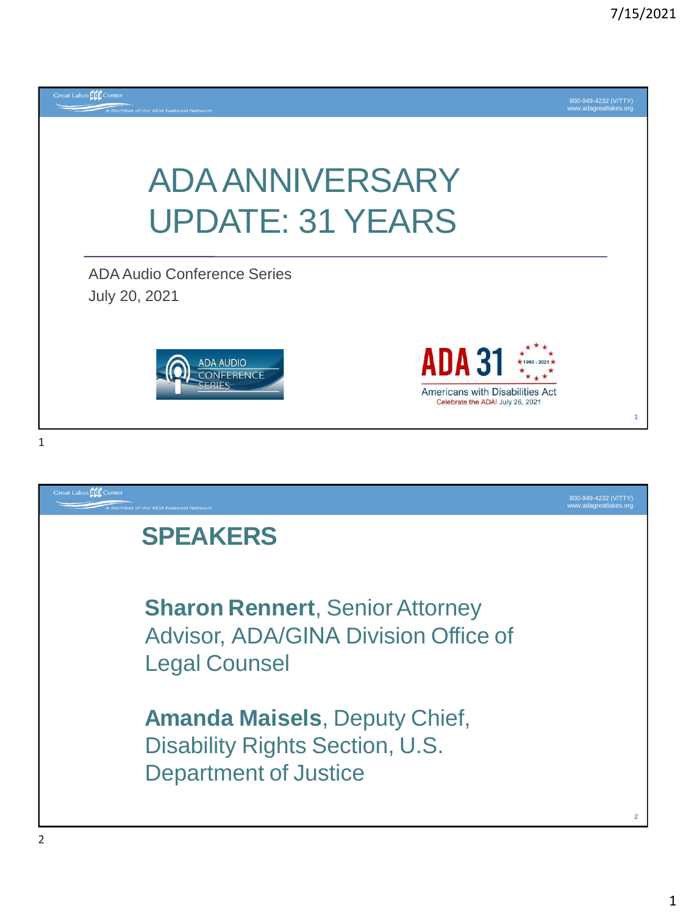

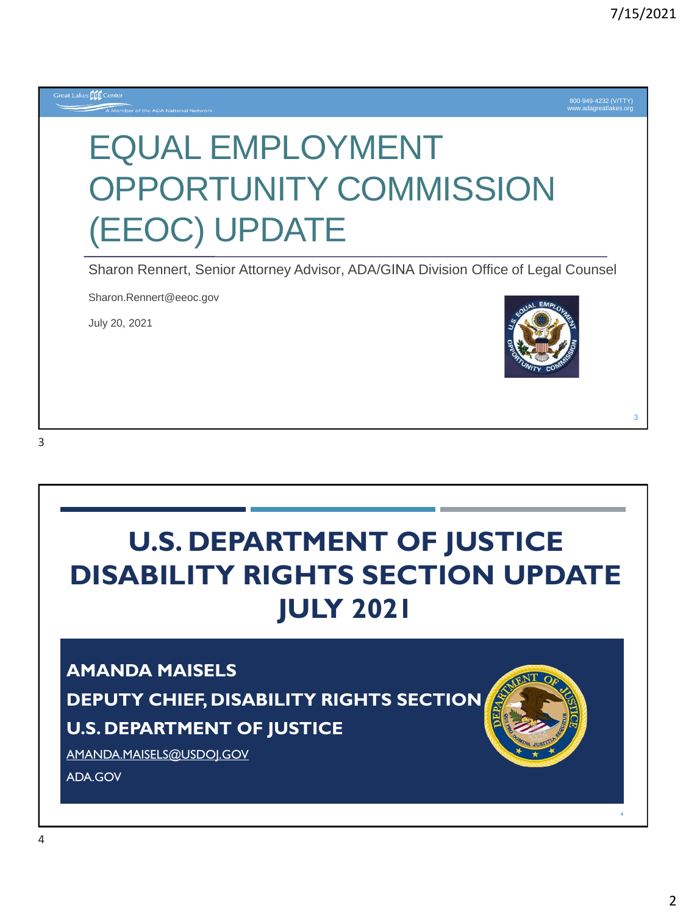

# **U.S. DEPARTMENT OF JUSTICE DISABILITY RIGHTS SECTION UPDATE JULY 2021**

#### **AMANDA MAISELS**

**DEPUTY CHIEF, DISABILITY RIGHTS SECTION**

#### **U.S. DEPARTMENT OF JUSTICE**

[AMANDA.MAISELS@USDOJ.GOV](mailto:Amanda.Maisels@usdoj.gov)

ADA.GOV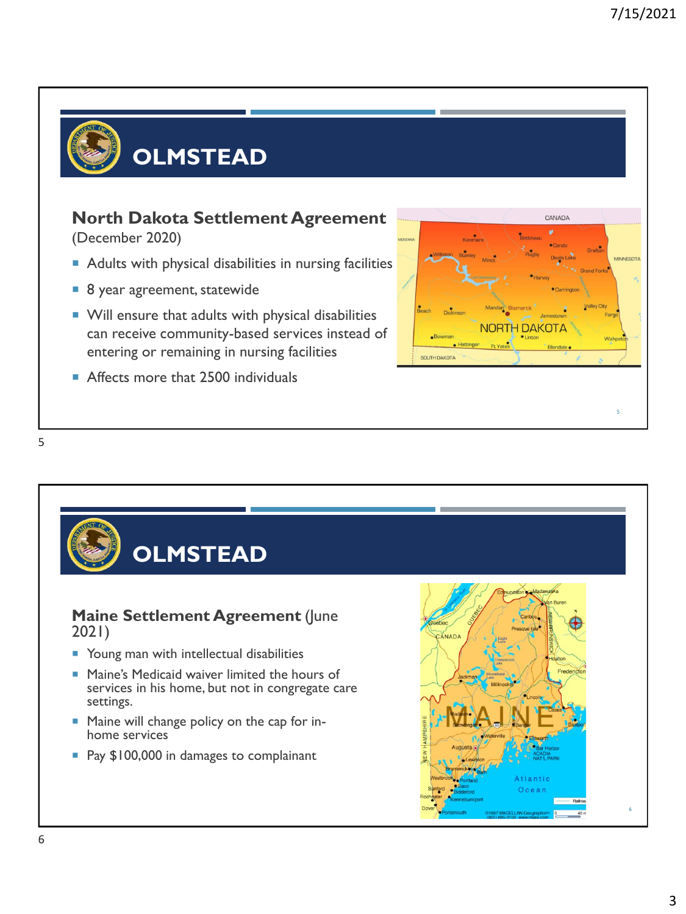

# **OLMSTEAD**

#### **North Dakota Settlement Agreement**

(December 2020)

- Adults with physical disabilities in nursing facilities
- 8 year agreement, statewide
- **Will ensure that adults with physical disabilities** can receive community-based services instead of entering or remaining in nursing facilities
- Affects more that 2500 individuals



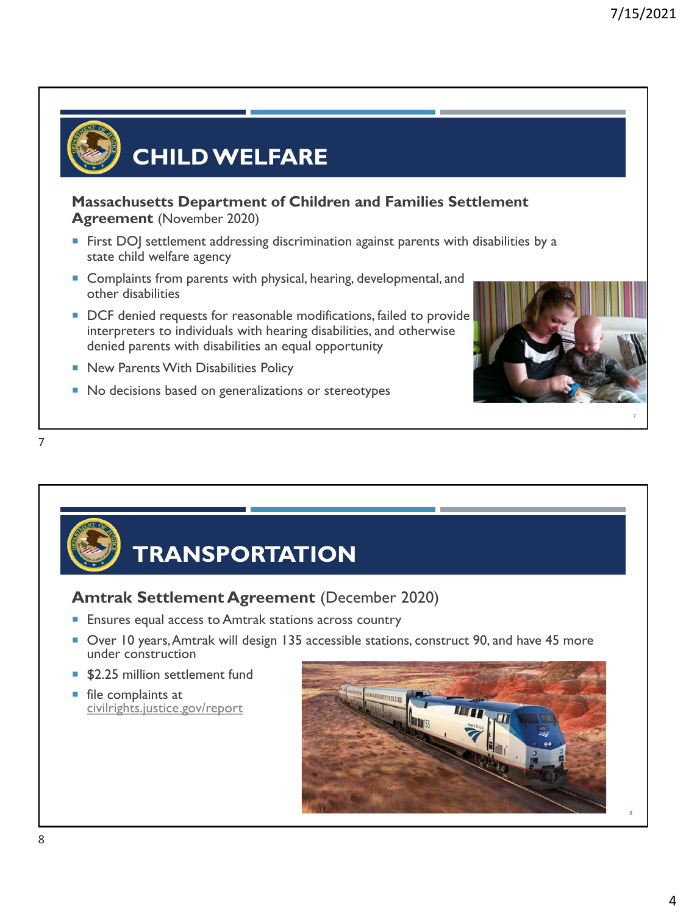

## **CHILD WELFARE**

**Massachusetts Department of Children and Families Settlement Agreement** (November 2020)

- **First DO** settlement addressing discrimination against parents with disabilities by a state child welfare agency
- Complaints from parents with physical, hearing, developmental, and other disabilities
- DCF denied requests for reasonable modifications, failed to provide interpreters to individuals with hearing disabilities, and otherwise denied parents with disabilities an equal opportunity
- New Parents With Disabilities Policy
- No decisions based on generalizations or stereotypes





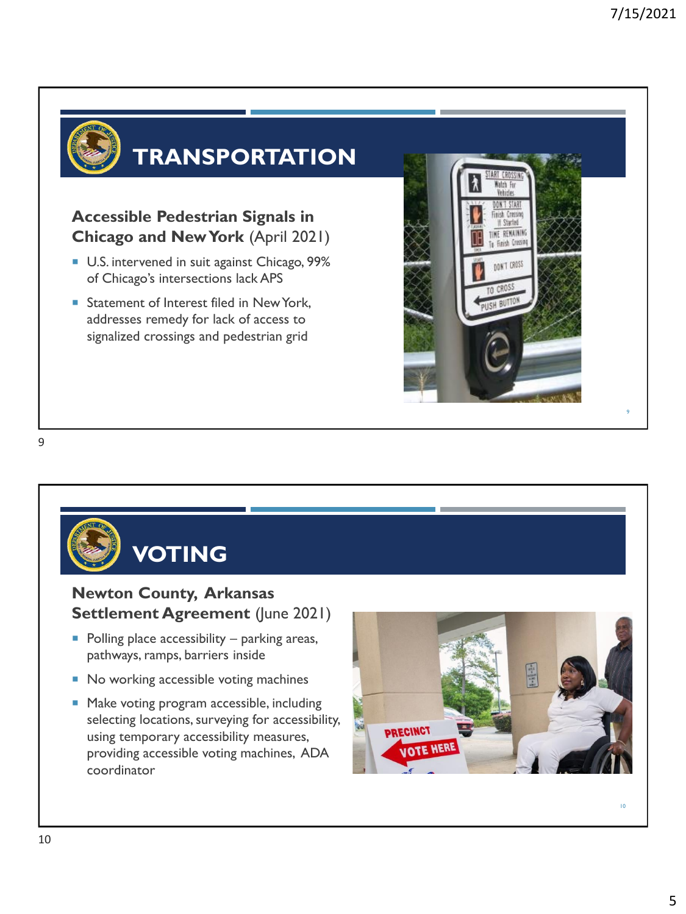

### **TRANSPORTATION**

**Accessible Pedestrian Signals in Chicago and New York** (April 2021)

- U.S. intervened in suit against Chicago, 99% of Chicago's intersections lack APS
- Statement of Interest filed in New York, addresses remedy for lack of access to signalized crossings and pedestrian grid



9



- No working accessible voting machines
- Make voting program accessible, including selecting locations, surveying for accessibility, using temporary accessibility measures, providing accessible voting machines, ADA coordinator

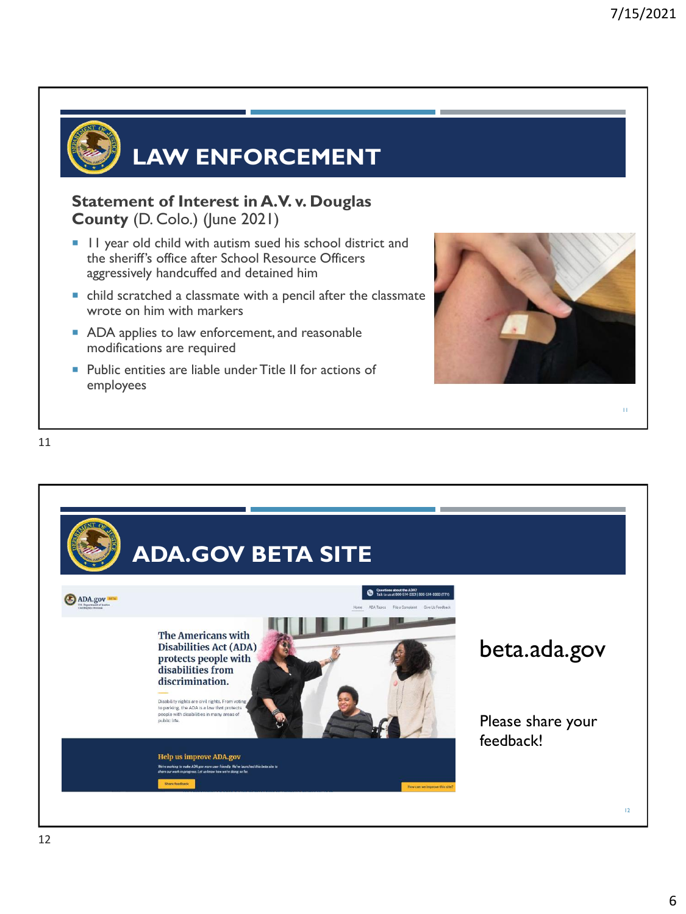11



### **LAW ENFORCEMENT**

**Statement of Interest in A.V. v. Douglas County** (D. Colo.) (June 2021)

- I I year old child with autism sued his school district and the sheriff's office after School Resource Officers aggressively handcuffed and detained him
- child scratched a classmate with a pencil after the classmate wrote on him with markers
- ADA applies to law enforcement, and reasonable modifications are required
- **Public entities are liable under Title II for actions of** employees



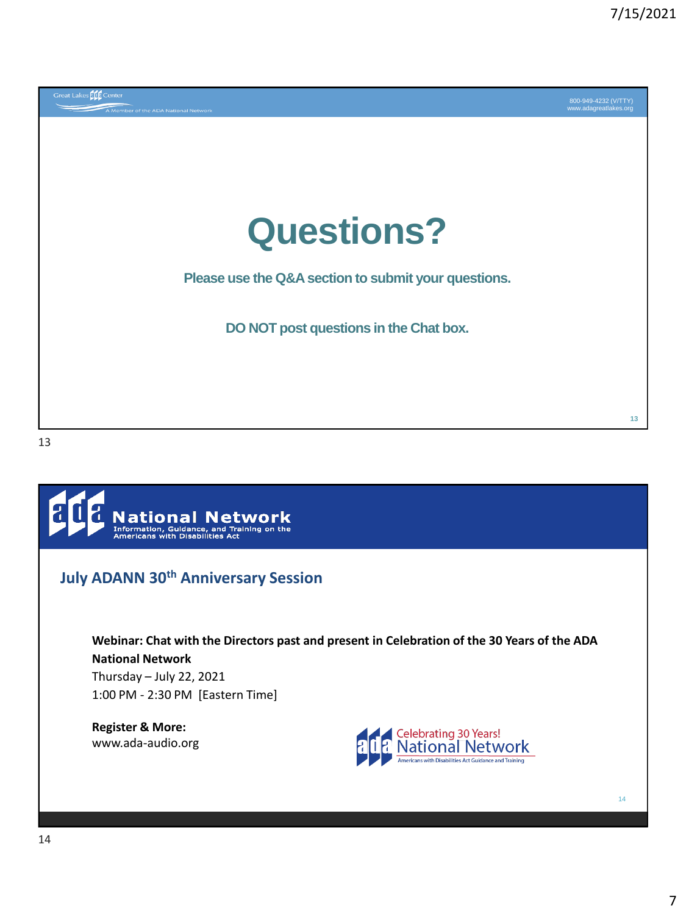